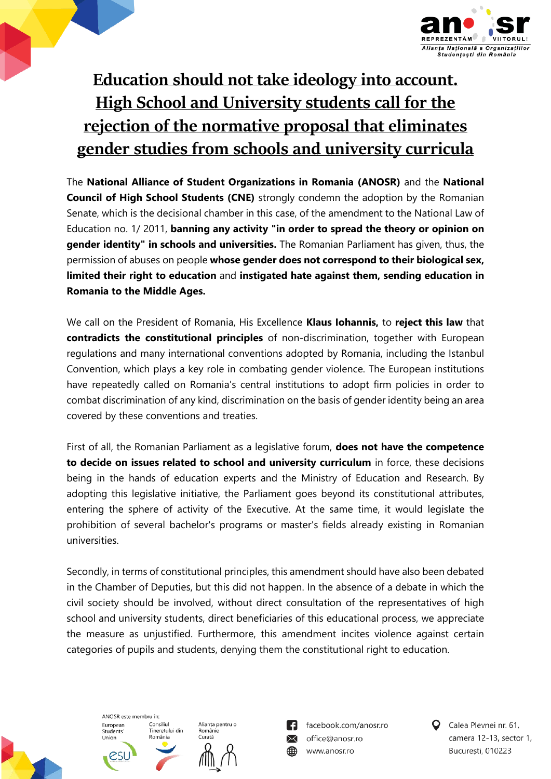

## **Education should not take ideology into account. High School and University students call for the rejection of the normative proposal that eliminates gender studies from schools and university curricula**

The **National Alliance of Student Organizations in Romania (ANOSR)** and the **National Council of High School Students (CNE)** strongly condemn the adoption by the Romanian Senate, which is the decisional chamber in this case, of the amendment to the National Law of Education no. 1/ 2011, **banning any activity "in order to spread the theory or opinion on gender identity" in schools and universities.** The Romanian Parliament has given, thus, the permission of abuses on people **whose gender does not correspond to their biological sex, limited their right to education** and **instigated hate against them, sending education in Romania to the Middle Ages.**

We call on the President of Romania, His Excellence **Klaus Iohannis,** to **reject this law** that **contradicts the constitutional principles** of non-discrimination, together with European regulations and many international conventions adopted by Romania, including the Istanbul Convention, which plays a key role in combating gender violence. The European institutions have repeatedly called on Romania's central institutions to adopt firm policies in order to combat discrimination of any kind, discrimination on the basis of gender identity being an area covered by these conventions and treaties.

First of all, the Romanian Parliament as a legislative forum, **does not have the competence to decide on issues related to school and university curriculum** in force, these decisions being in the hands of education experts and the Ministry of Education and Research. By adopting this legislative initiative, the Parliament goes beyond its constitutional attributes, entering the sphere of activity of the Executive. At the same time, it would legislate the prohibition of several bachelor's programs or master's fields already existing in Romanian universities.

Secondly, in terms of constitutional principles, this amendment should have also been debated in the Chamber of Deputies, but this did not happen. In the absence of a debate in which the civil society should be involved, without direct consultation of the representatives of high school and university students, direct beneficiaries of this educational process, we appreciate the measure as unjustified. Furthermore, this amendment incites violence against certain categories of pupils and students, denying them the constitutional right to education.



ANOSR este membru în: European Consiliul consmar<br>Tineretului din Students Union România

Alianța pentru o Românie Curată



facebook.com/anosr.ro  $\searrow$ office@anosr.ro www.anosr.ro